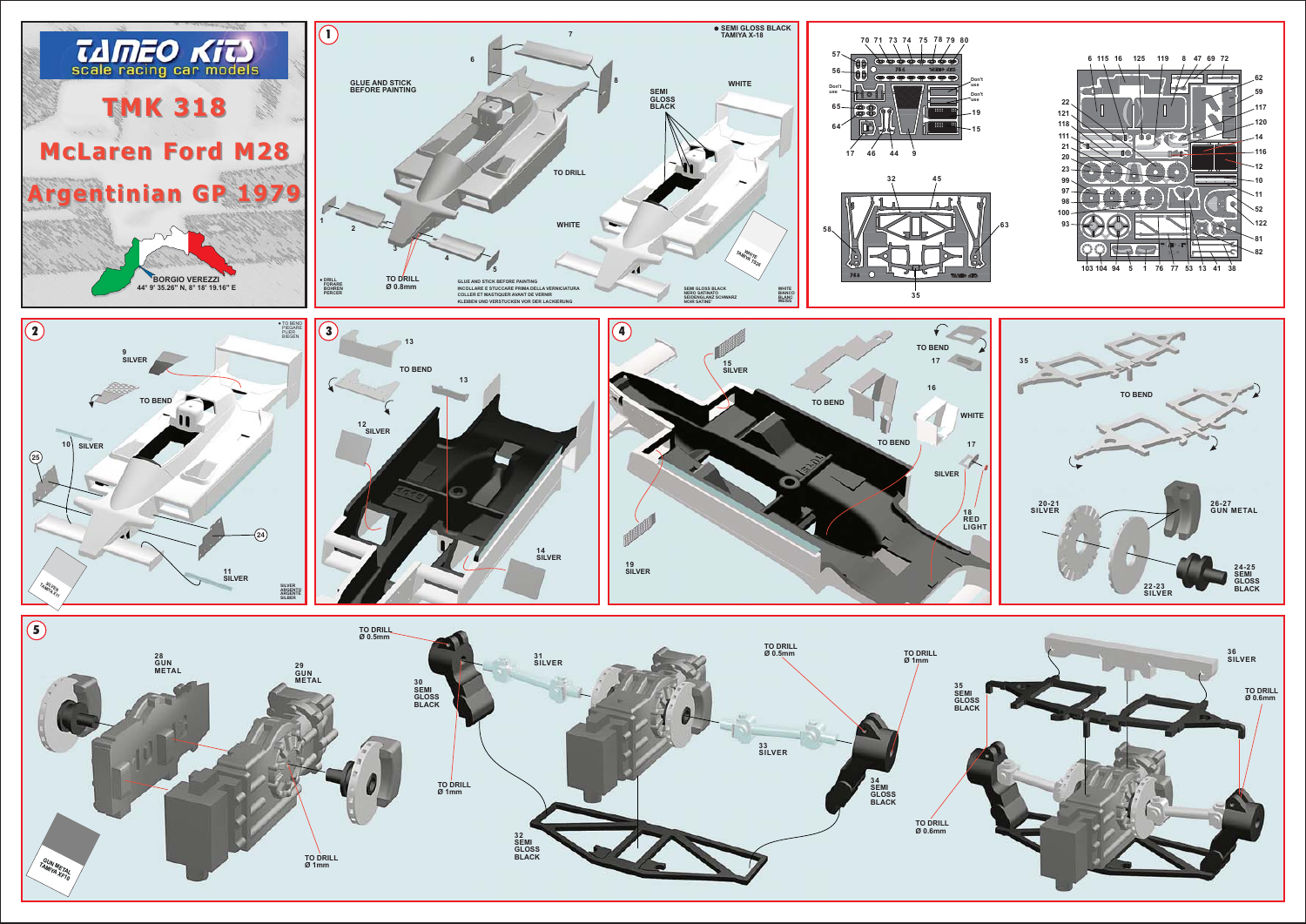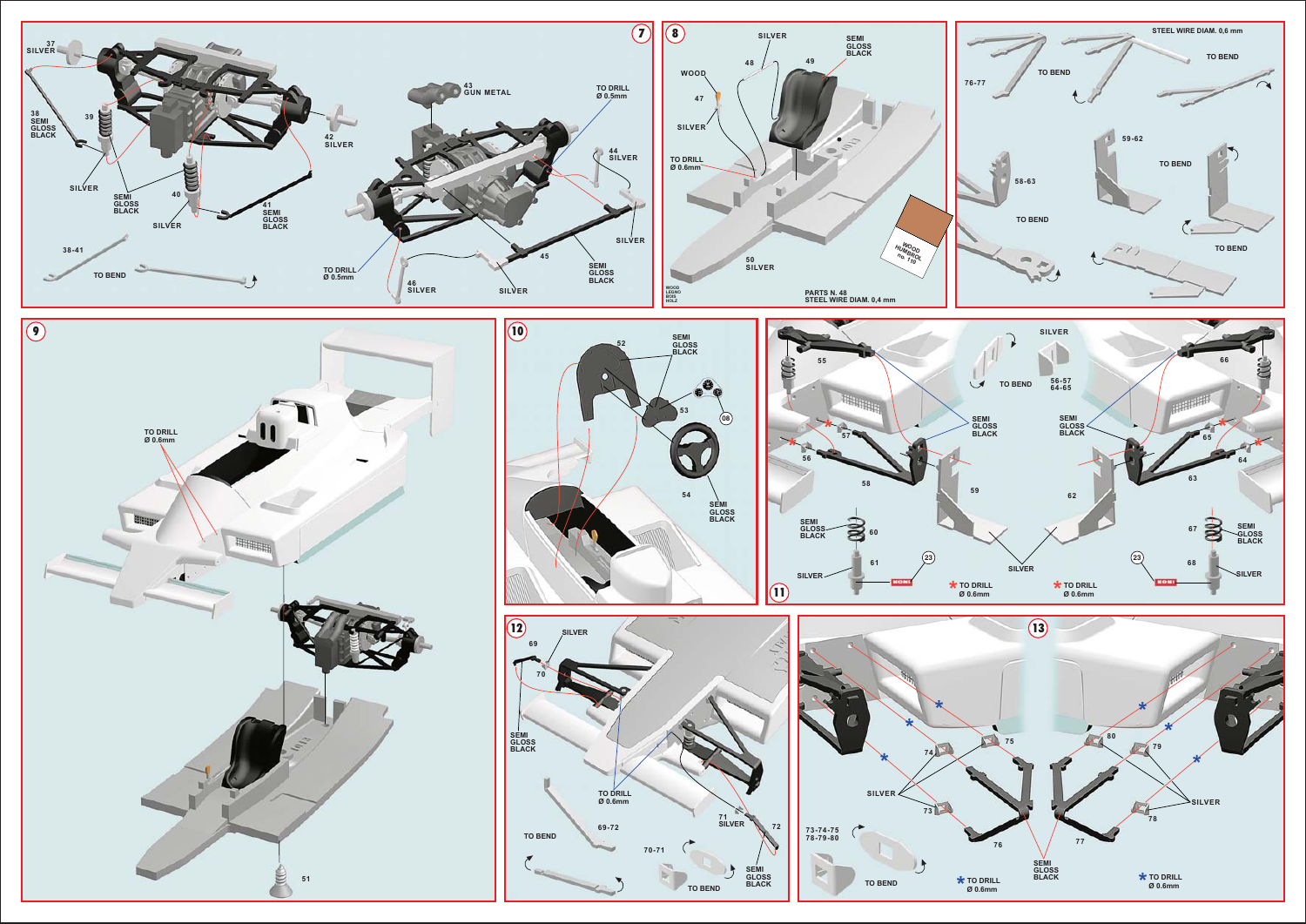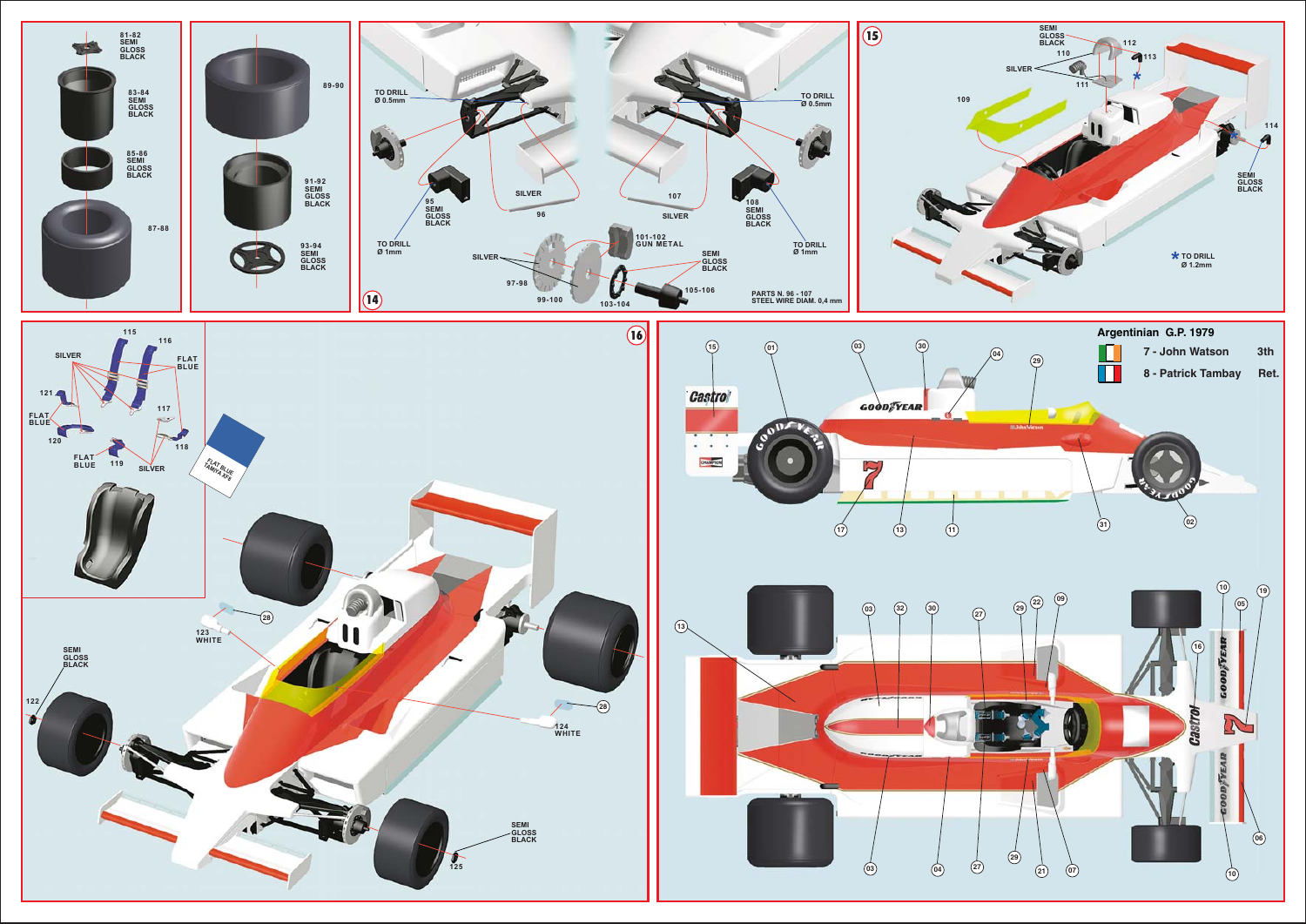